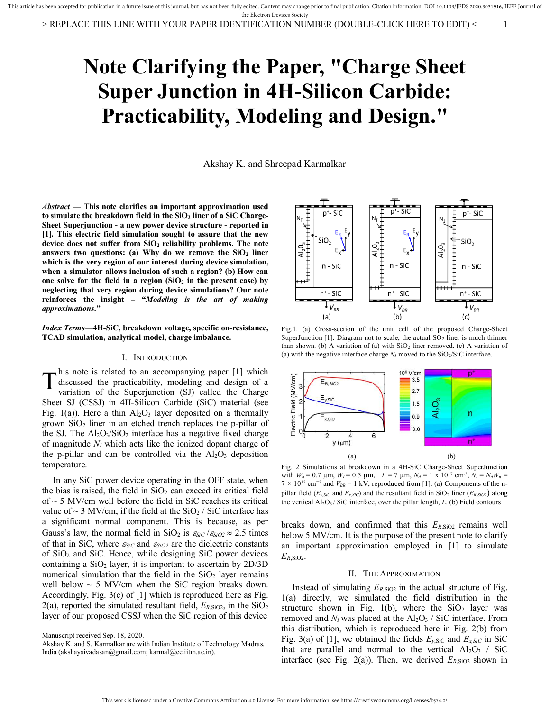# **Note Clarifying the Paper, "Charge Sheet Super Junction in 4H-Silicon Carbide: Practicability, Modeling and Design."**

Akshay K. and Shreepad Karmalkar

*Abstract* **— This note clarifies an important approximation used to simulate the breakdown field in the SiO2 liner of a SiC Charge-Sheet Superjunction - a new power device structure - reported in [1]. This electric field simulation sought to assure that the new device does not suffer from SiO2 reliability problems. The note answers two questions: (a) Why do we remove the SiO2 liner which is the very region of our interest during device simulation, when a simulator allows inclusion of such a region? (b) How can one solve for the field in a region (SiO2 in the present case) by neglecting that very region during device simulations? Our note reinforces the insight – "***Modeling is the art of making approximations***."**

*Index Terms***—4H-SiC, breakdown voltage, specific on-resistance, TCAD simulation, analytical model, charge imbalance.** 

### I. INTRODUCTION

his note is related to an accompanying paper [1] which discussed the practicability, modeling and design of a variation of the Superjunction (SJ) called the Charge Sheet SJ (CSSJ) in 4H-Silicon Carbide (SiC) material (see Fig. 1(a)). Here a thin  $Al_2O_3$  layer deposited on a thermally grown  $SiO<sub>2</sub>$  liner in an etched trench replaces the p-pillar of the SJ. The  $Al_2O_3/SiO_2$  interface has a negative fixed charge of magnitude *NI* which acts like the ionized dopant charge of the p-pillar and can be controlled via the  $Al_2O_3$  deposition temperature.  $\mathrm{T}^\text{\tiny{h}}_\text{\tiny{vi}}$ 

 In any SiC power device operating in the OFF state, when the bias is raised, the field in  $SiO<sub>2</sub>$  can exceed its critical field of  $\sim$  5 MV/cm well before the field in SiC reaches its critical value of  $\sim$  3 MV/cm, if the field at the SiO<sub>2</sub> / SiC interface has a significant normal component. This is because, as per Gauss's law, the normal field in SiO<sub>2</sub> is  $\varepsilon_{SiC}/\varepsilon_{SiO2} \approx 2.5$  times of that in SiC, where  $\varepsilon_{SiC}$  and  $\varepsilon_{SiO2}$  are the dielectric constants of  $SiO<sub>2</sub>$  and  $SiC$ . Hence, while designing  $SiC$  power devices containing a  $SiO<sub>2</sub>$  layer, it is important to ascertain by  $2D/3D$ numerical simulation that the field in the  $SiO<sub>2</sub>$  layer remains well below  $\sim$  5 MV/cm when the SiC region breaks down. Accordingly, Fig. 3(c) of [1] which is reproduced here as Fig. 2(a), reported the simulated resultant field,  $E_{R,SIO2}$ , in the  $SiO<sub>2</sub>$ layer of our proposed CSSJ when the SiC region of this device

Akshay K. and S. Karmalkar are with Indian Institute of Technology Madras, India [\(akshaysivadasan@gmail.com; karmal@ee.iitm.ac.in\)](mailto:akshaysivadasan@gmail.com;%20karmal@ee.iitm.ac.in).



Fig.1. (a) Cross-section of the unit cell of the proposed Charge-Sheet SuperJunction [1]. Diagram not to scale; the actual  $SO<sub>2</sub>$  liner is much thinner than shown. (b) A variation of (a) with  $SiO<sub>2</sub>$  liner removed. (c) A variation of (a) with the negative interface charge  $N_I$  moved to the SiO<sub>2</sub>/SiC interface.



Fig. 2 Simulations at breakdown in a 4H-SiC Charge-Sheet SuperJunction with  $W_n = 0.7 \mu \text{m}$ ,  $W_l = 0.5 \mu \text{m}$ ,  $L = 7 \mu \text{m}$ ,  $N_d = 1 \times 10^{17} \text{ cm}^3$ ,  $N_l = N_d W_n =$ 7 *×* 10<sup>12</sup> cm*<sup>−</sup>*<sup>2</sup> and *VBR* = 1 kV; reproduced from [1]. (a) Components of the npillar field ( $E_{y,SiC}$  and  $E_{x,SiC}$ ) and the resultant field in SiO<sub>2</sub> liner ( $E_{R,SiO2}$ ) along the vertical Al2O3 / SiC interface, over the pillar length, *L*. (b) Field contours

breaks down, and confirmed that this  $E_{R,SiO2}$  remains well below 5 MV/cm. It is the purpose of the present note to clarify an important approximation employed in [1] to simulate *ER*,SiO2.

## II. THE APPROXIMATION

Instead of simulating  $E_{R,SIO2}$  in the actual structure of Fig. 1(a) directly, we simulated the field distribution in the structure shown in Fig. 1(b), where the  $SiO<sub>2</sub>$  layer was removed and  $N_I$  was placed at the  $Al_2O_3 /$  SiC interface. From this distribution, which is reproduced here in Fig. 2(b) from Fig. 3(a) of [1], we obtained the fields  $E_{y,\text{SiC}}$  and  $E_{x,\text{SiC}}$  in SiC that are parallel and normal to the vertical  $Al_2O_3$  / SiC interface (see Fig. 2(a)). Then, we derived  $E_{R,SIO2}$  shown in

Manuscript received Sep. 18, 2020.